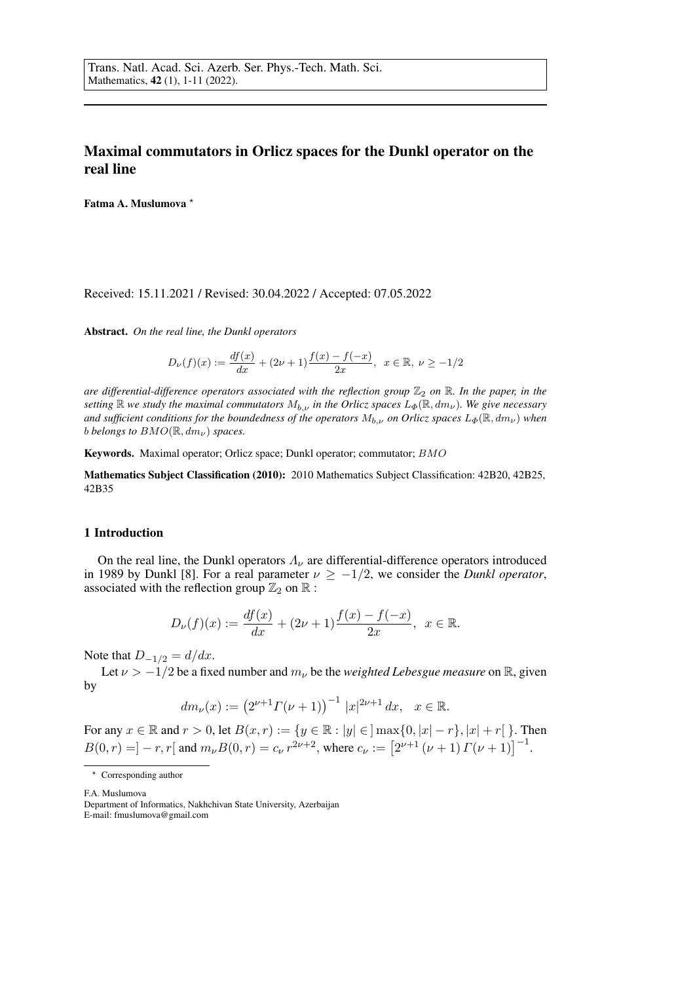# Maximal commutators in Orlicz spaces for the Dunkl operator on the real line

Fatma A. Muslumova ?

## Received: 15.11.2021 / Revised: 30.04.2022 / Accepted: 07.05.2022

Abstract. *On the real line, the Dunkl operators*

$$
D_{\nu}(f)(x) := \frac{df(x)}{dx} + (2\nu + 1)\frac{f(x) - f(-x)}{2x}, \ \ x \in \mathbb{R}, \ \nu \ge -1/2
$$

*are differential-difference operators associated with the reflection group*  $\mathbb{Z}_2$  *on*  $\mathbb{R}$ *. In the paper, in the setting*  $\mathbb R$  *we study the maximal commutators*  $M_{b,\nu}$  *in the Orlicz spaces*  $L_{\Phi}(\mathbb R, dm_{\nu})$ *. We give necessary and sufficient conditions for the boundedness of the operators*  $M_{b,\nu}$  *on Orlicz spaces*  $L_{\Phi}(\mathbb{R}, dm_{\nu})$  *when b belongs to*  $BMO(\mathbb{R}, dm_{\nu})$  *spaces.* 

Keywords. Maximal operator; Orlicz space; Dunkl operator; commutator; BMO

Mathematics Subject Classification (2010): 2010 Mathematics Subject Classification: 42B20, 42B25, 42B35

### 1 Introduction

On the real line, the Dunkl operators  $\Lambda_{\nu}$  are differential-difference operators introduced in 1989 by Dunkl [8]. For a real parameter  $\nu \ge -1/2$ , we consider the *Dunkl operator*, associated with the reflection group  $\mathbb{Z}_2$  on  $\mathbb{R}$  :

$$
D_{\nu}(f)(x) := \frac{df(x)}{dx} + (2\nu + 1)\frac{f(x) - f(-x)}{2x}, \ \ x \in \mathbb{R}.
$$

Note that  $D_{-1/2} = d/dx$ .

Let  $\nu > -1/2$  be a fixed number and  $m_{\nu}$  be the *weighted Lebesgue measure* on R, given by

$$
dm_{\nu}(x) := (2^{\nu+1}\Gamma(\nu+1))^{-1} |x|^{2\nu+1} dx, \quad x \in \mathbb{R}.
$$

For any  $x \in \mathbb{R}$  and  $r > 0$ , let  $B(x, r) := \{y \in \mathbb{R} : |y| \in \,] \max\{0, |x| - r\}, |x| + r[ \, \}.$  Then  $B(0,r) = ] - r, r[$  and  $m_{\nu}B(0,r) = c_{\nu}r^{2\nu+2}$ , where  $c_{\nu} := [2^{\nu+1}(\nu+1) \Gamma(\nu+1)]^{-1}$ .

F.A. Muslumova

<sup>\*</sup> Corresponding author

Department of Informatics, Nakhchivan State University, Azerbaijan E-mail: fmuslumova@gmail.com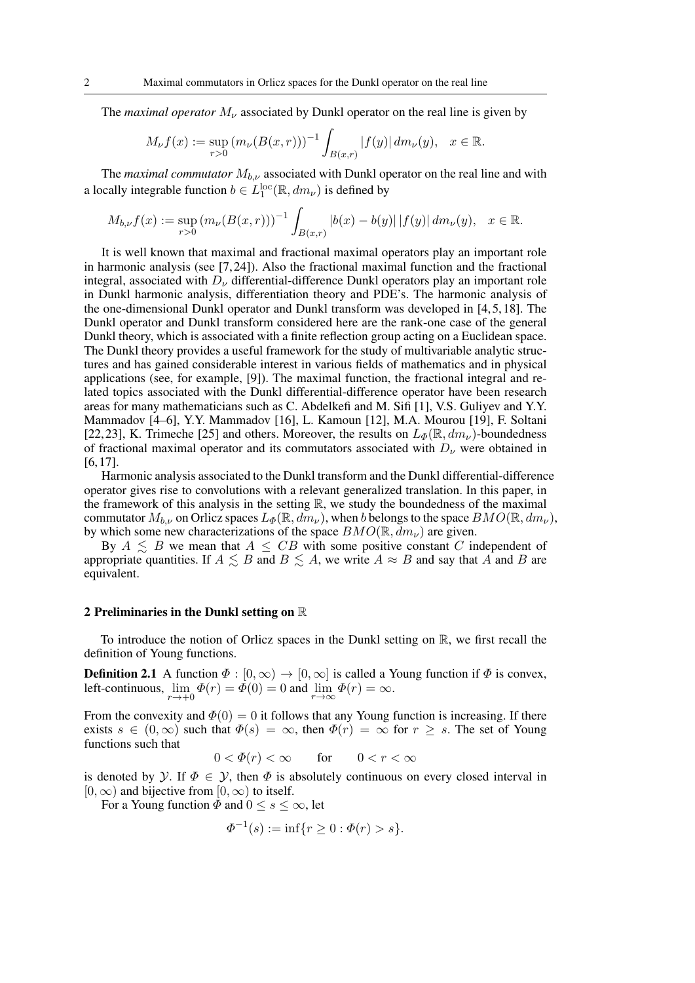The *maximal operator*  $M_{\nu}$  associated by Dunkl operator on the real line is given by

$$
M_{\nu}f(x) := \sup_{r>0} (m_{\nu}(B(x,r)))^{-1} \int_{B(x,r)} |f(y)| \, dm_{\nu}(y), \quad x \in \mathbb{R}.
$$

The *maximal commutator*  $M_{b,\nu}$  associated with Dunkl operator on the real line and with a locally integrable function  $b \in L_1^{\text{loc}}(\mathbb{R}, dm_\nu)$  is defined by

$$
M_{b,\nu}f(x) := \sup_{r>0} (m_{\nu}(B(x,r)))^{-1} \int_{B(x,r)} |b(x) - b(y)| |f(y)| dm_{\nu}(y), \quad x \in \mathbb{R}.
$$

It is well known that maximal and fractional maximal operators play an important role in harmonic analysis (see [7, 24]). Also the fractional maximal function and the fractional integral, associated with  $D_{\nu}$  differential-difference Dunkl operators play an important role in Dunkl harmonic analysis, differentiation theory and PDE's. The harmonic analysis of the one-dimensional Dunkl operator and Dunkl transform was developed in [4,5,18]. The Dunkl operator and Dunkl transform considered here are the rank-one case of the general Dunkl theory, which is associated with a finite reflection group acting on a Euclidean space. The Dunkl theory provides a useful framework for the study of multivariable analytic structures and has gained considerable interest in various fields of mathematics and in physical applications (see, for example, [9]). The maximal function, the fractional integral and related topics associated with the Dunkl differential-difference operator have been research areas for many mathematicians such as C. Abdelkefi and M. Sifi [1], V.S. Guliyev and Y.Y. Mammadov [4–6], Y.Y. Mammadov [16], L. Kamoun [12], M.A. Mourou [19], F. Soltani [22, 23], K. Trimeche [25] and others. Moreover, the results on  $L_{\Phi}(\mathbb{R}, dm_{\nu})$ -boundedness of fractional maximal operator and its commutators associated with  $D_{\nu}$  were obtained in [6, 17].

Harmonic analysis associated to the Dunkl transform and the Dunkl differential-difference operator gives rise to convolutions with a relevant generalized translation. In this paper, in the framework of this analysis in the setting  $\mathbb{R}$ , we study the boundedness of the maximal commutator  $M_{b,\nu}$  on Orlicz spaces  $L_{\Phi}(\mathbb{R}, dm_{\nu})$ , when b belongs to the space  $BMO(\mathbb{R}, dm_{\nu})$ , by which some new characterizations of the space  $BMO(\mathbb{R}, dm_{\nu})$  are given.

By  $A \leq B$  we mean that  $A \leq CB$  with some positive constant C independent of appropriate quantities. If  $A \leq B$  and  $B \leq A$ , we write  $A \approx B$  and say that A and B are equivalent.

#### 2 Preliminaries in the Dunkl setting on R

To introduce the notion of Orlicz spaces in the Dunkl setting on  $\mathbb{R}$ , we first recall the definition of Young functions.

**Definition 2.1** A function  $\Phi : [0, \infty) \to [0, \infty]$  is called a Young function if  $\Phi$  is convex, left-continuous,  $\lim_{r \to +0} \Phi(r) = \Phi(0) = 0$  and  $\lim_{r \to \infty} \Phi(r) = \infty$ .

From the convexity and  $\Phi(0) = 0$  it follows that any Young function is increasing. If there exists  $s \in (0,\infty)$  such that  $\Phi(s) = \infty$ , then  $\Phi(r) = \infty$  for  $r \geq s$ . The set of Young functions such that

$$
0 < \varPhi(r) < \infty \qquad \text{for} \qquad 0 < r < \infty
$$

is denoted by Y. If  $\Phi \in Y$ , then  $\Phi$  is absolutely continuous on every closed interval in  $[0, \infty)$  and bijective from  $[0, \infty)$  to itself.

For a Young function  $\overline{\Phi}$  and  $0 \leq s \leq \infty$ , let

$$
\Phi^{-1}(s) := \inf\{r \ge 0 : \Phi(r) > s\}.
$$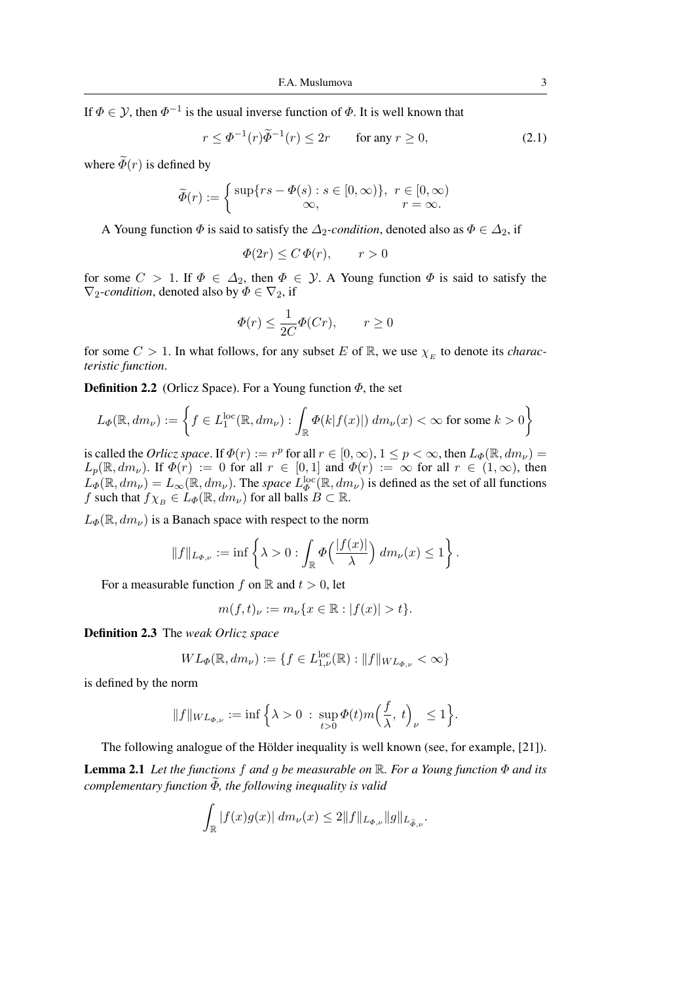If  $\Phi \in \mathcal{Y}$ , then  $\Phi^{-1}$  is the usual inverse function of  $\Phi$ . It is well known that

$$
r \le \Phi^{-1}(r)\widetilde{\Phi}^{-1}(r) \le 2r \qquad \text{for any } r \ge 0,
$$
 (2.1)

where  $\widetilde{\Phi}(r)$  is defined by

$$
\widetilde{\Phi}(r) := \begin{cases} \sup\{rs - \Phi(s) : s \in [0, \infty)\}, & r \in [0, \infty) \\ \infty, & r = \infty. \end{cases}
$$

A Young function  $\Phi$  is said to satisfy the  $\Delta_2$ -condition, denoted also as  $\Phi \in \Delta_2$ , if

$$
\Phi(2r) \le C \Phi(r), \qquad r > 0
$$

for some  $C > 1$ . If  $\Phi \in \Delta_2$ , then  $\Phi \in \mathcal{Y}$ . A Young function  $\Phi$  is said to satisfy the  $\nabla_2$ -condition, denoted also by  $\Phi \in \nabla_2$ , if

$$
\Phi(r) \le \frac{1}{2C} \Phi(Cr), \qquad r \ge 0
$$

for some  $C > 1$ . In what follows, for any subset E of R, we use  $\chi_E$  to denote its *characteristic function*.

**Definition 2.2** (Orlicz Space). For a Young function  $\Phi$ , the set

$$
L_{\Phi}(\mathbb{R}, dm_{\nu}) := \left\{ f \in L_1^{\text{loc}}(\mathbb{R}, dm_{\nu}) : \int_{\mathbb{R}} \Phi(k|f(x)|) dm_{\nu}(x) < \infty \text{ for some } k > 0 \right\}
$$

is called the *Orlicz space*. If  $\Phi(r) := r^p$  for all  $r \in [0, \infty)$ ,  $1 \le p < \infty$ , then  $L_{\Phi}(\mathbb{R}, dm_\nu) =$  $L_p(\mathbb{R}, dm_\nu)$ . If  $\Phi(r) := 0$  for all  $r \in [0,1]$  and  $\Phi(r) := \infty$  for all  $r \in (1,\infty)$ , then  $L_{\Phi}(\mathbb{R}, dm_{\nu}) = L_{\infty}(\mathbb{R}, dm_{\nu})$ . The *space*  $L_{\Phi}^{\text{loc}}(\mathbb{R}, dm_{\nu})$  is defined as the set of all functions f such that  $f\chi_B \in L_\Phi(\mathbb{R}, dm_\nu)$  for all balls  $B \subset \mathbb{R}$ .

 $L_{\Phi}(\mathbb{R}, dm_{\nu})$  is a Banach space with respect to the norm

$$
||f||_{L_{\Phi,\nu}} := \inf \left\{ \lambda > 0 : \int_{\mathbb{R}} \Phi\left(\frac{|f(x)|}{\lambda}\right) dm_{\nu}(x) \le 1 \right\}.
$$

For a measurable function f on R and  $t > 0$ , let

$$
m(f, t)_{\nu} := m_{\nu} \{ x \in \mathbb{R} : |f(x)| > t \}.
$$

Definition 2.3 The *weak Orlicz space*

$$
WL_{\Phi}(\mathbb{R}, dm_{\nu}) := \{ f \in L_{1,\nu}^{\text{loc}}(\mathbb{R}) : ||f||_{WL_{\Phi,\nu}} < \infty \}
$$

is defined by the norm

$$
||f||_{WL_{\Phi,\nu}} := \inf \Big\{\lambda > 0 \, : \, \sup_{t>0} \Phi(t)m\Big(\frac{f}{\lambda},\,t\Big)_{\nu} \, \leq 1\Big\}.
$$

The following analogue of the Hölder inequality is well known (see, for example,  $[21]$ ).

Lemma 2.1 *Let the functions* f *and* g *be measurable on* R*. For a Young function* Φ *and its complementary function*  $\widetilde{\Phi}$ *, the following inequality is valid* 

$$
\int_{\mathbb{R}} |f(x)g(x)| \, dm_{\nu}(x) \le 2||f||_{L_{\Phi,\nu}} ||g||_{L_{\widetilde{\Phi},\nu}}.
$$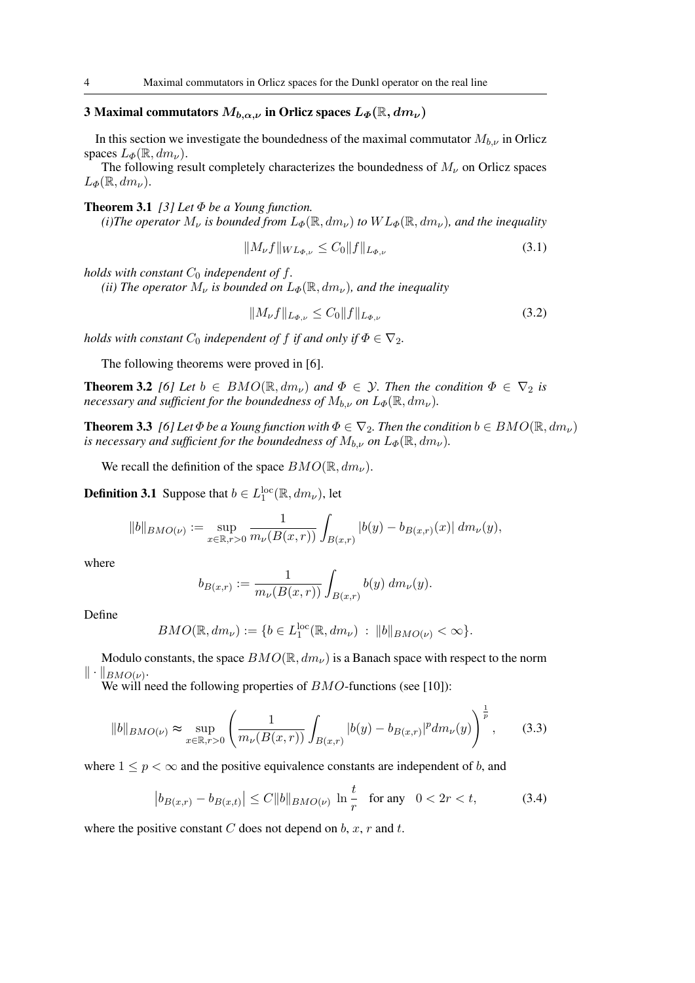# 3 Maximal commutators  $M_{b,\alpha,\nu}$  in Orlicz spaces  $L_{\Phi}(\mathbb{R}, dm_{\nu})$

In this section we investigate the boundedness of the maximal commutator  $M_{b,\nu}$  in Orlicz spaces  $L_{\Phi}(\mathbb{R}, dm_{\nu}).$ 

The following result completely characterizes the boundedness of  $M_{\nu}$  on Orlicz spaces  $L_{\Phi}(\mathbb{R}, dm_{\nu}).$ 

**Theorem 3.1** *[3] Let*  $\Phi$  *be a Young function.* 

*(i)The operator*  $M_{\nu}$  *is bounded from*  $L_{\Phi}(\mathbb{R}, dm_{\nu})$  *to*  $WL_{\Phi}(\mathbb{R}, dm_{\nu})$ *, and the inequality* 

$$
||M_{\nu}f||_{WL_{\Phi,\nu}} \leq C_0 ||f||_{L_{\Phi,\nu}}
$$
\n(3.1)

*holds with constant*  $C_0$  *independent of*  $f$ *.* 

*(ii) The operator*  $M_{\nu}$  *is bounded on*  $L_{\Phi}(\mathbb{R}, dm_{\nu})$ *, and the inequality* 

$$
||M_{\nu}f||_{L_{\Phi,\nu}} \leq C_0 ||f||_{L_{\Phi,\nu}}
$$
\n(3.2)

*holds with constant*  $C_0$  *independent of*  $f$  *if and only if*  $\Phi \in \nabla_2$ *.* 

The following theorems were proved in [6].

**Theorem 3.2** *[6]* Let  $b \in BMO(\mathbb{R}, dm_{\nu})$  and  $\Phi \in \mathcal{Y}$ . Then the condition  $\Phi \in \nabla_2$  *is necessary and sufficient for the boundedness of*  $M_{b,\nu}$  *on*  $L_{\Phi}(\mathbb{R}, dm_{\nu})$ *.* 

**Theorem 3.3** *[6] Let*  $\Phi$  *be a Young function with*  $\Phi \in \nabla_2$ *. Then the condition*  $b \in BMO(\mathbb{R}, dm_\nu)$ *is necessary and sufficient for the boundedness of*  $M_{b,\nu}$  *on*  $L_{\Phi}(\mathbb{R}, dm_{\nu})$ *.* 

We recall the definition of the space  $BMO(\mathbb{R}, dm_{\nu})$ .

**Definition 3.1** Suppose that  $b \in L_1^{\text{loc}}(\mathbb{R}, dm_\nu)$ , let

$$
||b||_{BMO(\nu)} := \sup_{x \in \mathbb{R}, r>0} \frac{1}{m_{\nu}(B(x,r))} \int_{B(x,r)} |b(y) - b_{B(x,r)}(x)| dm_{\nu}(y),
$$

where

$$
b_{B(x,r)} := \frac{1}{m_{\nu}(B(x,r))} \int_{B(x,r)} b(y) \, dm_{\nu}(y).
$$

Define

$$
BMO(\mathbb{R}, dm_{\nu}) := \{b \in L_1^{\text{loc}}(\mathbb{R}, dm_{\nu}) : ||b||_{BMO(\nu)} < \infty\}.
$$

Modulo constants, the space  $BMO(\mathbb{R}, dm_{\nu})$  is a Banach space with respect to the norm  $\|\cdot\|_{BMO(\nu)}.$ 

We will need the following properties of  $BMO$ -functions (see [10]):

$$
||b||_{BMO(\nu)} \approx \sup_{x \in \mathbb{R}, r>0} \left( \frac{1}{m_{\nu}(B(x,r))} \int_{B(x,r)} |b(y) - b_{B(x,r)}|^p dm_{\nu}(y) \right)^{\frac{1}{p}}, \quad (3.3)
$$

where  $1 \leq p \leq \infty$  and the positive equivalence constants are independent of b, and

$$
\left| b_{B(x,r)} - b_{B(x,t)} \right| \le C \|b\|_{BMO(\nu)} \ln \frac{t}{r} \quad \text{for any} \quad 0 < 2r < t,\tag{3.4}
$$

where the positive constant C does not depend on b, x, r and t.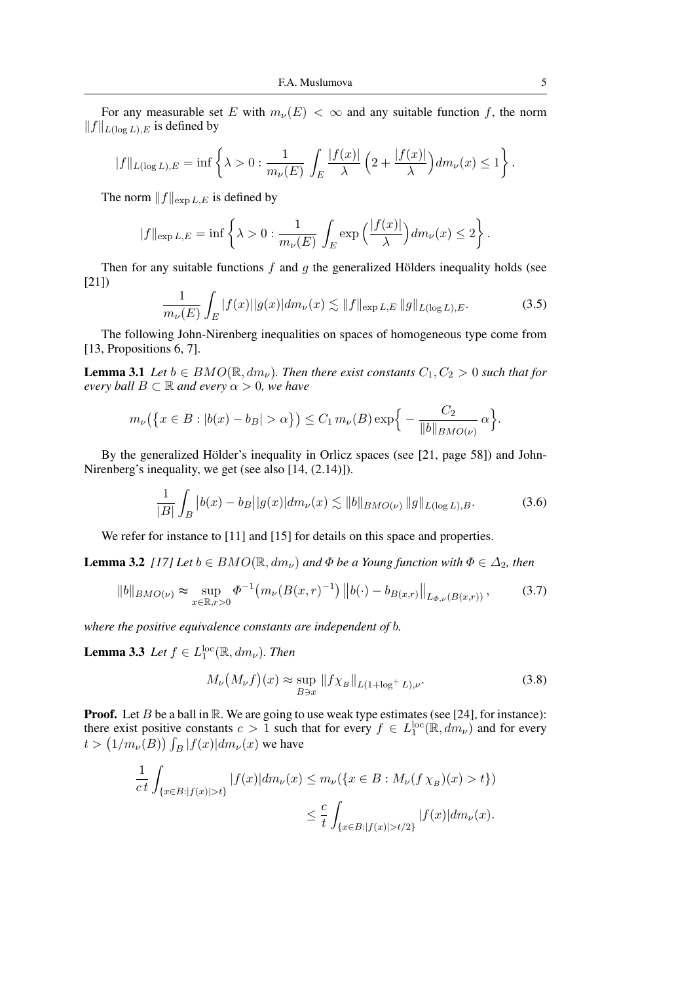For any measurable set E with  $m_{\nu}(E) < \infty$  and any suitable function f, the norm  $||f||_{L(\log L),E}$  is defined by

$$
||f||_{L(\log L),E} = \inf \left\{ \lambda > 0 : \frac{1}{m_{\nu}(E)} \int_{E} \frac{|f(x)|}{\lambda} \left( 2 + \frac{|f(x)|}{\lambda} \right) dm_{\nu}(x) \le 1 \right\}.
$$

The norm  $||f||_{\text{exp }L,E}$  is defined by

$$
|f\|_{\exp L,E} = \inf \left\{ \lambda > 0 : \frac{1}{m_{\nu}(E)} \int_{E} \exp\left(\frac{|f(x)|}{\lambda}\right) dm_{\nu}(x) \le 2 \right\}.
$$

Then for any suitable functions  $f$  and  $g$  the generalized Hölders inequality holds (see [21])

$$
\frac{1}{m_{\nu}(E)} \int_{E} |f(x)| |g(x)| dm_{\nu}(x) \lesssim \|f\|_{\exp L,E} \|g\|_{L(\log L),E}.
$$
 (3.5)

The following John-Nirenberg inequalities on spaces of homogeneous type come from [13, Propositions 6, 7].

**Lemma 3.1** *Let*  $b \in BMO(\mathbb{R}, dm_{\nu})$ *. Then there exist constants*  $C_1, C_2 > 0$  *such that for every ball*  $B \subset \mathbb{R}$  *and every*  $\alpha > 0$ *, we have* 

$$
m_{\nu}(\left\{x \in B : |b(x) - b_B| > \alpha\right\}) \leq C_1 m_{\nu}(B) \exp\left\{-\frac{C_2}{\|b\|_{BMO(\nu)}} \alpha\right\}.
$$

By the generalized Hölder's inequality in Orlicz spaces (see [21, page 58]) and John-Nirenberg's inequality, we get (see also [14, (2.14)]).

$$
\frac{1}{|B|} \int_{B} |b(x) - b_B| |g(x)| dm_{\nu}(x) \lesssim ||b||_{BMO(\nu)} ||g||_{L(\log L),B}.
$$
 (3.6)

We refer for instance to [11] and [15] for details on this space and properties.

**Lemma 3.2** *[17] Let*  $b \in BMO(\mathbb{R}, dm_{\nu})$  *and*  $\Phi$  *be a Young function with*  $\Phi \in \Delta_2$ *, then* 

$$
||b||_{BMO(\nu)} \approx \sup_{x \in \mathbb{R}, r>0} \Phi^{-1}\left(m_{\nu}(B(x,r)^{-1})||b(\cdot) - b_{B(x,r)}||_{L_{\Phi,\nu}(B(x,r))},\right)
$$
(3.7)

*where the positive equivalence constants are independent of* b*.*

**Lemma 3.3** *Let*  $f \in L_1^{\text{loc}}(\mathbb{R}, dm_\nu)$ *. Then* 

 $\overline{I}$ 

$$
M_{\nu}\left(M_{\nu}f\right)(x) \approx \sup_{B \ni x} \|f\chi_B\|_{L(1+\log^+ L),\nu}.\tag{3.8}
$$

**Proof.** Let B be a ball in  $\mathbb{R}$ . We are going to use weak type estimates (see [24], for instance): there exist positive constants  $c > 1$  such that for every  $f \in L_1^{\text{loc}}(\mathbb{R}, dm_\nu)$  and for every  $t > (1/m<sub>\nu</sub>(B)) \int_B |f(x)| dm_{\nu}(x)$  we have

$$
\frac{1}{c \, t} \int_{\{x \in B : |f(x)| > t\}} |f(x)| dm_{\nu}(x) \le m_{\nu}(\{x \in B : M_{\nu}(f \chi_B)(x) > t\})
$$
  

$$
\le \frac{c}{t} \int_{\{x \in B : |f(x)| > t/2\}} |f(x)| dm_{\nu}(x).
$$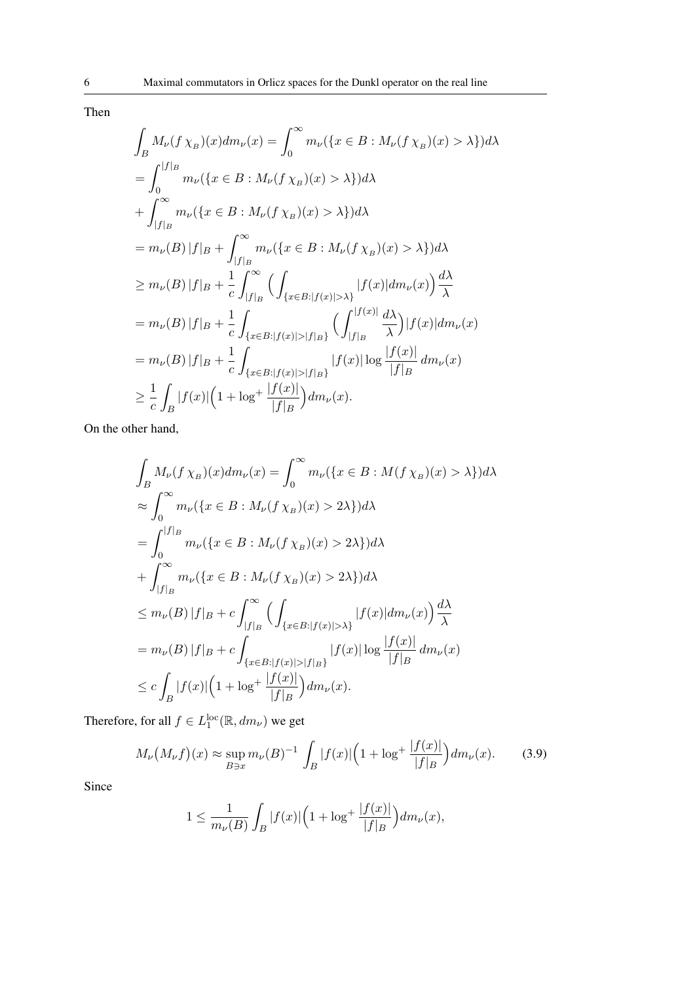$$
\int_{B} M_{\nu}(f \chi_{B})(x) dm_{\nu}(x) = \int_{0}^{\infty} m_{\nu}(\lbrace x \in B : M_{\nu}(f \chi_{B})(x) > \lambda \rbrace) d\lambda
$$
\n
$$
= \int_{0}^{|f|_{B}} m_{\nu}(\lbrace x \in B : M_{\nu}(f \chi_{B})(x) > \lambda \rbrace) d\lambda
$$
\n
$$
+ \int_{|f|_{B}}^{\infty} m_{\nu}(\lbrace x \in B : M_{\nu}(f \chi_{B})(x) > \lambda \rbrace) d\lambda
$$
\n
$$
= m_{\nu}(B) |f|_{B} + \int_{|f|_{B}}^{\infty} m_{\nu}(\lbrace x \in B : M_{\nu}(f \chi_{B})(x) > \lambda \rbrace) d\lambda
$$
\n
$$
\geq m_{\nu}(B) |f|_{B} + \frac{1}{c} \int_{|f|_{B}}^{\infty} \left( \int_{\lbrace x \in B : |f(x)| > \lambda \rbrace} |f(x)| dm_{\nu}(x) \right) \frac{d\lambda}{\lambda}
$$
\n
$$
= m_{\nu}(B) |f|_{B} + \frac{1}{c} \int_{\lbrace x \in B : |f(x)| > |f|_{B} \rbrace} \left( \int_{|f|_{B}}^{|f(x)|} \frac{d\lambda}{\lambda} \right) |f(x)| dm_{\nu}(x)
$$
\n
$$
= m_{\nu}(B) |f|_{B} + \frac{1}{c} \int_{\lbrace x \in B : |f(x)| > |f|_{B} \rbrace} |f(x)| \log \frac{|f(x)|}{|f|_{B}} dm_{\nu}(x)
$$
\n
$$
\geq \frac{1}{c} \int_{B} |f(x)| \left( 1 + \log^{+} \frac{|f(x)|}{|f|_{B}} \right) dm_{\nu}(x).
$$

On the other hand,

$$
\int_{B} M_{\nu}(f \chi_{B})(x) dm_{\nu}(x) = \int_{0}^{\infty} m_{\nu}(\lbrace x \in B : M(f \chi_{B})(x) > \lambda \rbrace) d\lambda
$$
  
\n
$$
\approx \int_{0}^{\infty} m_{\nu}(\lbrace x \in B : M_{\nu}(f \chi_{B})(x) > 2\lambda \rbrace) d\lambda
$$
  
\n
$$
= \int_{0}^{|f|_{B}} m_{\nu}(\lbrace x \in B : M_{\nu}(f \chi_{B})(x) > 2\lambda \rbrace) d\lambda
$$
  
\n
$$
+ \int_{|f|_{B}}^{\infty} m_{\nu}(\lbrace x \in B : M_{\nu}(f \chi_{B})(x) > 2\lambda \rbrace) d\lambda
$$
  
\n
$$
\leq m_{\nu}(B) |f|_{B} + c \int_{|f|_{B}}^{\infty} \left( \int_{\lbrace x \in B : |f(x)| > \lambda \rbrace} |f(x)| dm_{\nu}(x) \right) \frac{d\lambda}{\lambda}
$$
  
\n
$$
= m_{\nu}(B) |f|_{B} + c \int_{\lbrace x \in B : |f(x)| > |f|_{B} \rbrace} |f(x)| \log \frac{|f(x)|}{|f|_{B}} dm_{\nu}(x)
$$
  
\n
$$
\leq c \int_{B} |f(x)| \left( 1 + \log^{+} \frac{|f(x)|}{|f|_{B}} \right) dm_{\nu}(x).
$$

Therefore, for all  $f \in L_1^{\text{loc}}(\mathbb{R}, dm_\nu)$  we get

$$
M_{\nu}\big(M_{\nu}f\big)(x) \approx \sup_{B \ni x} m_{\nu}(B)^{-1} \int_{B} |f(x)| \Big(1 + \log^{+} \frac{|f(x)|}{|f|_{B}}\Big) dm_{\nu}(x). \tag{3.9}
$$

Since

$$
1 \le \frac{1}{m_{\nu}(B)} \int_{B} |f(x)| \Big( 1 + \log^{+} \frac{|f(x)|}{|f|_{B}} \Big) dm_{\nu}(x),
$$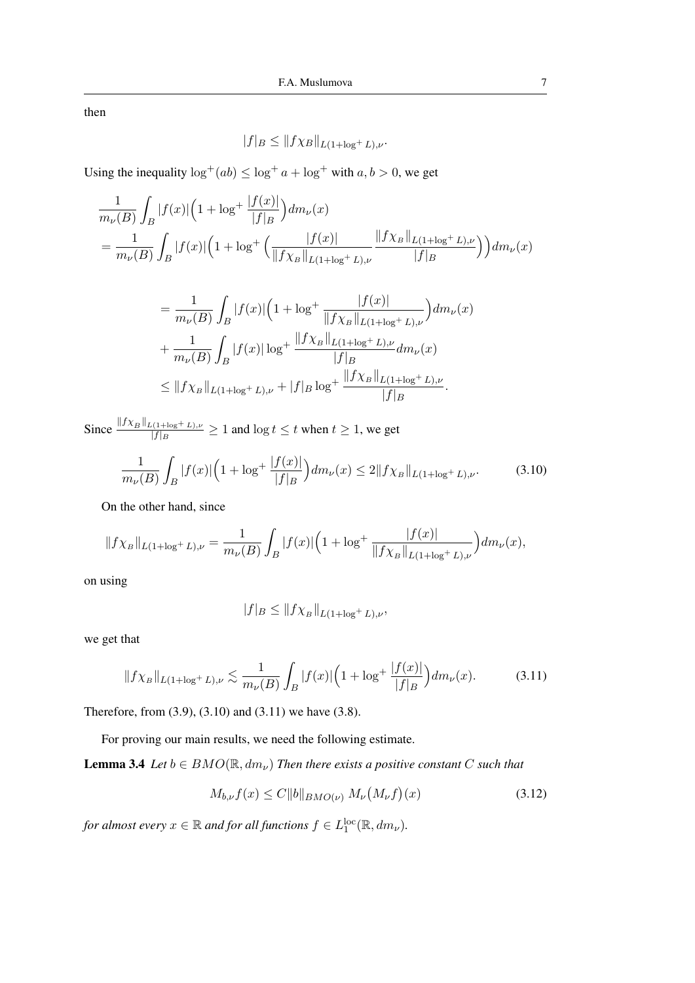then

$$
|f|_B \leq ||f \chi_B||_{L(1+\log^+ L),\nu}.
$$

Using the inequality  $\log^+(ab) \leq \log^+ a + \log^+$  with  $a, b > 0$ , we get

$$
\frac{1}{m_{\nu}(B)} \int_{B} |f(x)| \left(1 + \log^{+} \frac{|f(x)|}{|f|_{B}}\right) dm_{\nu}(x)
$$
\n
$$
= \frac{1}{m_{\nu}(B)} \int_{B} |f(x)| \left(1 + \log^{+} \left(\frac{|f(x)|}{\|f\chi_{B}\|_{L(1+\log^{+} L),\nu}} \frac{\|f\chi_{B}\|_{L(1+\log^{+} L),\nu}}{|f|_{B}}\right)\right) dm_{\nu}(x)
$$

$$
= \frac{1}{m_{\nu}(B)} \int_{B} |f(x)| \Big( 1 + \log^{+} \frac{|f(x)|}{\|f\chi_{B}\|_{L(1+\log^{+} L),\nu}} \Big) dm_{\nu}(x)
$$
  
+ 
$$
\frac{1}{m_{\nu}(B)} \int_{B} |f(x)| \log^{+} \frac{\|f\chi_{B}\|_{L(1+\log^{+} L),\nu}}{|f|_{B}} dm_{\nu}(x)
$$
  
\$\leq\$ 
$$
\|f\chi_{B}\|_{L(1+\log^{+} L),\nu} + |f|_{B} \log^{+} \frac{\|f\chi_{B}\|_{L(1+\log^{+} L),\nu}}{|f|_{B}}.
$$

Since  $\frac{\|f\chi_B\|_{L(1+\log^+ L),\nu}}{|f|_P}$  $\frac{f(t + \log t - L), \nu}{|f|B} \ge 1$  and  $\log t \le t$  when  $t \ge 1$ , we get

$$
\frac{1}{m_{\nu}(B)} \int_{B} |f(x)| \left( 1 + \log^{+} \frac{|f(x)|}{|f|_{B}} \right) dm_{\nu}(x) \le 2 \| f \chi_{B} \|_{L(1 + \log^{+} L), \nu}.
$$
 (3.10)

On the other hand, since

$$
||f\chi_B||_{L(1+\log^+ L),\nu} = \frac{1}{m_{\nu}(B)} \int_B |f(x)| \Big( 1 + \log^+ \frac{|f(x)|}{||f\chi_B||_{L(1+\log^+ L),\nu}} \Big) dm_{\nu}(x),
$$

on using

$$
|f|_B \leq \|f \chi_B\|_{L(1+\log^+ L),\nu},
$$

we get that

$$
||f\chi_B||_{L(1+\log^+ L),\nu} \lesssim \frac{1}{m_\nu(B)} \int_B |f(x)| \Big(1 + \log^+ \frac{|f(x)|}{|f|_B}\Big) dm_\nu(x). \tag{3.11}
$$

Therefore, from (3.9), (3.10) and (3.11) we have (3.8).

For proving our main results, we need the following estimate.

**Lemma 3.4** *Let*  $b \in BMO(\mathbb{R}, dm_{\nu})$  *Then there exists a positive constant C such that* 

$$
M_{b,\nu} f(x) \le C \|b\|_{BMO(\nu)} M_{\nu}(M_{\nu} f)(x) \tag{3.12}
$$

for almost every  $x \in \mathbb{R}$  and for all functions  $f \in L_1^{\text{loc}}(\mathbb{R}, dm_\nu)$ .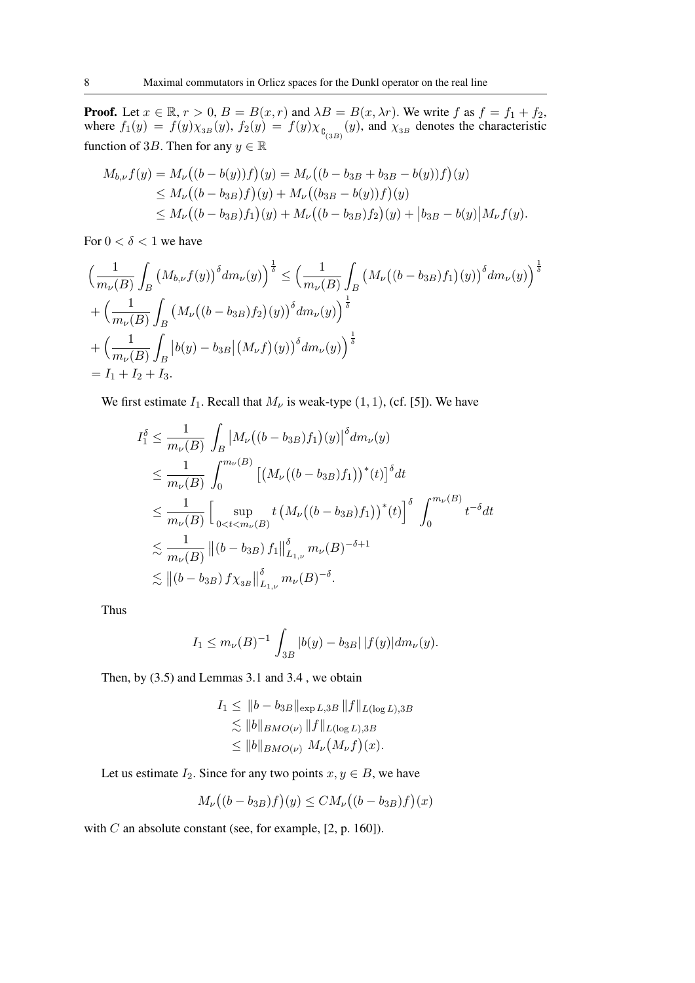**Proof.** Let  $x \in \mathbb{R}$ ,  $r > 0$ ,  $B = B(x, r)$  and  $\lambda B = B(x, \lambda r)$ . We write f as  $f = f_1 + f_2$ , where  $f_1(y) = f(y)\chi_{3B}(y)$ ,  $f_2(y) = f(y)\chi_{\mathfrak{g}_{(3B)}}(y)$ , and  $\chi_{3B}$  denotes the characteristic function of 3B. Then for any  $y \in \mathbb{R}$ 

$$
M_{b,\nu}f(y) = M_{\nu}((b - b(y))f)(y) = M_{\nu}((b - b_{3B} + b_{3B} - b(y))f)(y)
$$
  
\n
$$
\leq M_{\nu}((b - b_{3B})f)(y) + M_{\nu}((b_{3B} - b(y))f)(y)
$$
  
\n
$$
\leq M_{\nu}((b - b_{3B})f_1)(y) + M_{\nu}((b - b_{3B})f_2)(y) + |b_{3B} - b(y)|M_{\nu}f(y).
$$

For  $0 < \delta < 1$  we have

$$
\left(\frac{1}{m_{\nu}(B)} \int_{B} \left(M_{b,\nu} f(y)\right)^{\delta} dm_{\nu}(y)\right)^{\frac{1}{\delta}} \leq \left(\frac{1}{m_{\nu}(B)} \int_{B} \left(M_{\nu} \left((b-b_{3B}) f_{1}\right)(y)\right)^{\delta} dm_{\nu}(y)\right)^{\frac{1}{\delta}} \n+ \left(\frac{1}{m_{\nu}(B)} \int_{B} \left(M_{\nu} \left((b-b_{3B}) f_{2}\right)(y)\right)^{\delta} dm_{\nu}(y)\right)^{\frac{1}{\delta}} \n+ \left(\frac{1}{m_{\nu}(B)} \int_{B} \left|b(y)-b_{3B}\right| \left(M_{\nu} f\right)(y)\right)^{\delta} dm_{\nu}(y)\right)^{\frac{1}{\delta}} \n= I_{1} + I_{2} + I_{3}.
$$

We first estimate  $I_1$ . Recall that  $M_{\nu}$  is weak-type  $(1, 1)$ , (cf. [5]). We have

$$
I_1^{\delta} \leq \frac{1}{m_{\nu}(B)} \int_B |M_{\nu}((b - b_{3B})f_1)(y)|^{\delta} dm_{\nu}(y)
$$
  
\n
$$
\leq \frac{1}{m_{\nu}(B)} \int_0^{m_{\nu}(B)} [(M_{\nu}((b - b_{3B})f_1))^*(t)]^{\delta} dt
$$
  
\n
$$
\leq \frac{1}{m_{\nu}(B)} \Big[ \sup_{0 < t < m_{\nu}(B)} t (M_{\nu}((b - b_{3B})f_1))^*(t) \Big]^{\delta} \int_0^{m_{\nu}(B)} t^{-\delta} dt
$$
  
\n
$$
\lesssim \frac{1}{m_{\nu}(B)} ||(b - b_{3B})f_1||_{L_{1,\nu}}^{\delta} m_{\nu}(B)^{-\delta+1}
$$
  
\n
$$
\lesssim ||(b - b_{3B})f \chi_{3B}||_{L_{1,\nu}}^{\delta} m_{\nu}(B)^{-\delta}.
$$

Thus

$$
I_1 \le m_{\nu}(B)^{-1} \int_{3B} |b(y) - b_{3B}| |f(y)| dm_{\nu}(y).
$$

Then, by (3.5) and Lemmas 3.1 and 3.4 , we obtain

$$
I_1 \leq \|b - b_{3B}\|_{\exp L,3B} \|f\|_{L(\log L),3B}
$$
  
\n
$$
\lesssim \|b\|_{BMO(\nu)} \|f\|_{L(\log L),3B}
$$
  
\n
$$
\leq \|b\|_{BMO(\nu)} M_{\nu}(M_{\nu}f)(x).
$$

Let us estimate  $I_2$ . Since for any two points  $x, y \in B$ , we have

$$
M_{\nu}((b - b_{3B})f)(y) \leq CM_{\nu}((b - b_{3B})f)(x)
$$

with  $C$  an absolute constant (see, for example,  $[2, p. 160]$ ).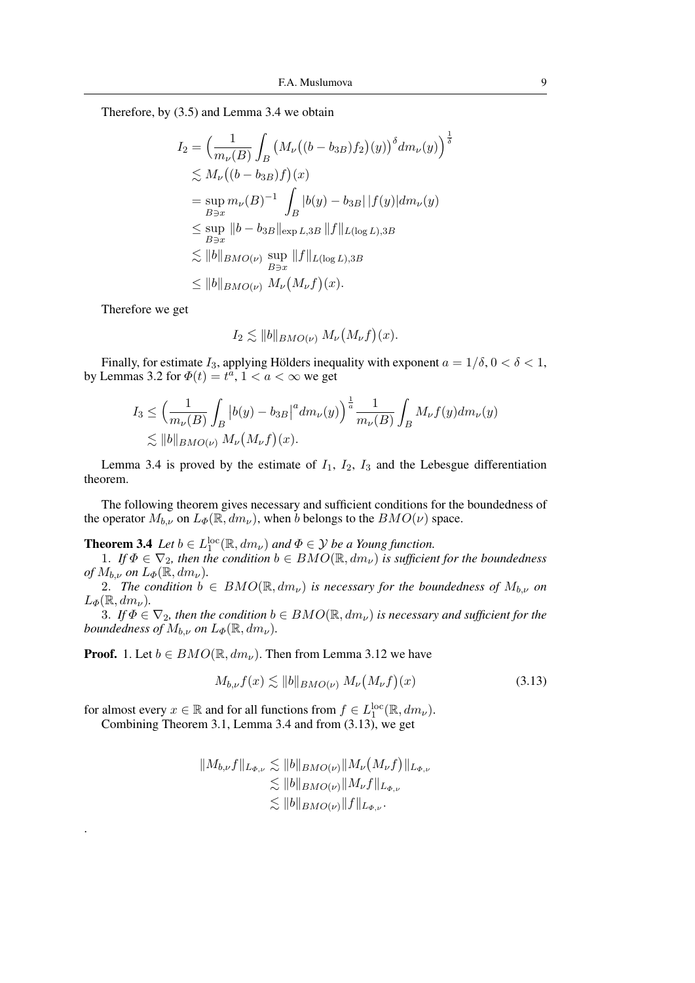Therefore, by (3.5) and Lemma 3.4 we obtain

$$
I_2 = \left(\frac{1}{m_{\nu}(B)} \int_B \left(M_{\nu}\left((b - b_{3B})f_2\right)(y)\right)^{\delta} dm_{\nu}(y)\right)^{\frac{1}{\delta}}
$$
  
\n
$$
\lesssim M_{\nu}\left((b - b_{3B})f\right)(x)
$$
  
\n
$$
= \sup_{B \ni x} m_{\nu}(B)^{-1} \int_B |b(y) - b_{3B}| |f(y)| dm_{\nu}(y)
$$
  
\n
$$
\leq \sup_{B \ni x} \|b - b_{3B}\|_{\exp L,3B} \|f\|_{L(\log L),3B}
$$
  
\n
$$
\lesssim \|b\|_{BMO(\nu)} \sup_{B \ni x} \|f\|_{L(\log L),3B}
$$
  
\n
$$
\leq \|b\|_{BMO(\nu)} M_{\nu}\left(M_{\nu}f\right)(x).
$$

Therefore we get

.

$$
I_2 \lesssim ||b||_{BMO(\nu)} M_{\nu}(M_{\nu}f)(x).
$$

Finally, for estimate  $I_3$ , applying Hölders inequality with exponent  $a = 1/\delta$ ,  $0 < \delta < 1$ , by Lemmas 3.2 for  $\Phi(t) = t^{\hat{a}}$ ,  $1 < a < \infty$  we get

$$
I_3 \leq \left(\frac{1}{m_{\nu}(B)} \int_B |b(y) - b_{3B}|^a dm_{\nu}(y)\right)^{\frac{1}{a}} \frac{1}{m_{\nu}(B)} \int_B M_{\nu} f(y) dm_{\nu}(y)
$$
  
\$\lesssim \|b\|\_{BMO(\nu)} M\_{\nu}(M\_{\nu}f)(x).

Lemma 3.4 is proved by the estimate of  $I_1$ ,  $I_2$ ,  $I_3$  and the Lebesgue differentiation theorem.

The following theorem gives necessary and sufficient conditions for the boundedness of the operator  $M_{b,\nu}$  on  $L_{\Phi}(\mathbb{R}, dm_{\nu})$ , when b belongs to the  $BMO(\nu)$  space.

**Theorem 3.4** *Let*  $b \in L_1^{\text{loc}}(\mathbb{R}, dm_\nu)$  *and*  $\Phi \in \mathcal{Y}$  *be a Young function.* 

1. *If*  $\Phi \in \nabla_2$ , then the condition  $b \in BMO(\mathbb{R}, dm_\nu)$  *is sufficient for the boundedness of*  $M_{b,\nu}$  *on*  $L_{\Phi}(\mathbb{R}, dm_{\nu})$ .

2. *The condition*  $b \in BMO(\mathbb{R}, dm_{\nu})$  *is necessary for the boundedness of*  $M_{b,\nu}$  *on*  $L_{\Phi}(\mathbb{R}, dm_{\nu}).$ 

3. *If*  $\Phi \in \nabla_2$ , then the condition  $b \in BMO(\mathbb{R}, dm_\nu)$  is necessary and sufficient for the *boundedness of*  $M_{b,\nu}$  *on*  $L_{\Phi}(\mathbb{R}, dm_{\nu})$ *.* 

**Proof.** 1. Let  $b \in BMO(\mathbb{R}, dm_{\nu})$ . Then from Lemma 3.12 we have

$$
M_{b,\nu}f(x) \lesssim \|b\|_{BMO(\nu)} M_{\nu}\big(M_{\nu}f\big)(x) \tag{3.13}
$$

for almost every  $x \in \mathbb{R}$  and for all functions from  $f \in L_1^{\text{loc}}(\mathbb{R}, dm_\nu)$ . Combining Theorem 3.1, Lemma 3.4 and from (3.13), we get

$$
||M_{b,\nu}f||_{L_{\Phi,\nu}} \lesssim ||b||_{BMO(\nu)}||M_{\nu}(M_{\nu}f)||_{L_{\Phi,\nu}}
$$
  
\n
$$
\lesssim ||b||_{BMO(\nu)}||M_{\nu}f||_{L_{\Phi,\nu}}
$$
  
\n
$$
\lesssim ||b||_{BMO(\nu)}||f||_{L_{\Phi,\nu}}.
$$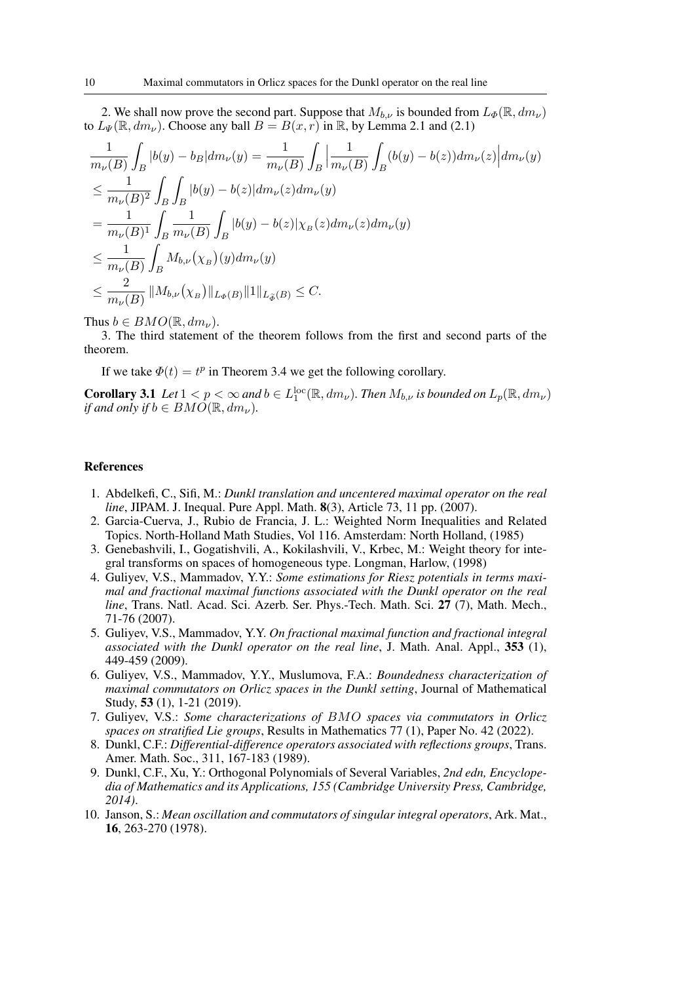2. We shall now prove the second part. Suppose that  $M_{b,\nu}$  is bounded from  $L_{\Phi}(\mathbb{R}, dm_{\nu})$ to  $L_{\Psi}(\mathbb{R}, dm_{\nu})$ . Choose any ball  $B = B(x, r)$  in  $\mathbb{R}$ , by Lemma 2.1 and (2.1)

$$
\frac{1}{m_{\nu}(B)} \int_{B} |b(y) - b_{B}| dm_{\nu}(y) = \frac{1}{m_{\nu}(B)} \int_{B} \left| \frac{1}{m_{\nu}(B)} \int_{B} (b(y) - b(z)) dm_{\nu}(z) \right| dm_{\nu}(y)
$$
\n
$$
\leq \frac{1}{m_{\nu}(B)^{2}} \int_{B} \int_{B} |b(y) - b(z)| dm_{\nu}(z) dm_{\nu}(y)
$$
\n
$$
= \frac{1}{m_{\nu}(B)^{1}} \int_{B} \frac{1}{m_{\nu}(B)} \int_{B} |b(y) - b(z)| \chi_{B}(z) dm_{\nu}(z) dm_{\nu}(y)
$$
\n
$$
\leq \frac{1}{m_{\nu}(B)} \int_{B} M_{b,\nu}(\chi_{B})(y) dm_{\nu}(y)
$$
\n
$$
\leq \frac{2}{m_{\nu}(B)} ||M_{b,\nu}(\chi_{B})||_{L_{\Phi}(B)} ||1||_{L_{\Phi}(B)} \leq C.
$$

Thus  $b \in BMO(\mathbb{R}, dm_{\nu}).$ 

3. The third statement of the theorem follows from the first and second parts of the theorem.

If we take  $\Phi(t) = t^p$  in Theorem 3.4 we get the following corollary.

**Corollary 3.1** Let  $1 < p < \infty$  and  $b \in L_1^{\text{loc}}(\mathbb{R}, dm_\nu)$ . Then  $M_{b,\nu}$  is bounded on  $L_p(\mathbb{R}, dm_\nu)$ *if and only if*  $b \in BMO(\mathbb{R}, dm_{\nu})$ .

# References

- 1. Abdelkefi, C., Sifi, M.: *Dunkl translation and uncentered maximal operator on the real line*, JIPAM. J. Inequal. Pure Appl. Math. **8**(3), Article 73, 11 pp. (2007).
- 2. Garcia-Cuerva, J., Rubio de Francia, J. L.: Weighted Norm Inequalities and Related Topics. North-Holland Math Studies, Vol 116. Amsterdam: North Holland, (1985)
- 3. Genebashvili, I., Gogatishvili, A., Kokilashvili, V., Krbec, M.: Weight theory for integral transforms on spaces of homogeneous type. Longman, Harlow, (1998)
- 4. Guliyev, V.S., Mammadov, Y.Y.: *Some estimations for Riesz potentials in terms maximal and fractional maximal functions associated with the Dunkl operator on the real line*, Trans. Natl. Acad. Sci. Azerb. Ser. Phys.-Tech. Math. Sci. 27 (7), Math. Mech., 71-76 (2007).
- 5. Guliyev, V.S., Mammadov, Y.Y. *On fractional maximal function and fractional integral associated with the Dunkl operator on the real line*, J. Math. Anal. Appl., 353 (1), 449-459 (2009).
- 6. Guliyev, V.S., Mammadov, Y.Y., Muslumova, F.A.: *Boundedness characterization of maximal commutators on Orlicz spaces in the Dunkl setting*, Journal of Mathematical Study, 53 (1), 1-21 (2019).
- 7. Guliyev, V.S.: *Some characterizations of* BMO *spaces via commutators in Orlicz spaces on stratified Lie groups*, Results in Mathematics 77 (1), Paper No. 42 (2022).
- 8. Dunkl, C.F.: *Differential-difference operators associated with reflections groups*, Trans. Amer. Math. Soc., 311, 167-183 (1989).
- 9. Dunkl, C.F., Xu, Y.: Orthogonal Polynomials of Several Variables, *2nd edn, Encyclopedia of Mathematics and its Applications, 155 (Cambridge University Press, Cambridge, 2014)*.
- 10. Janson, S.: *Mean oscillation and commutators of singular integral operators*, Ark. Mat., 16, 263-270 (1978).